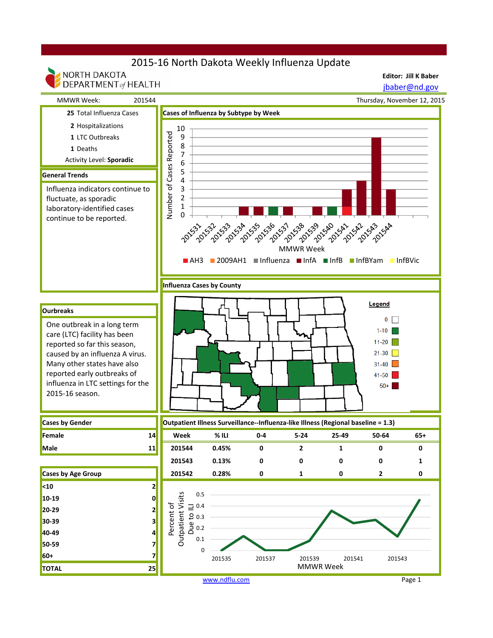# 2015-16 North Dakota Weekly Influenza Update

NORTH DAKOTA

**Editor: Jill K Baber**